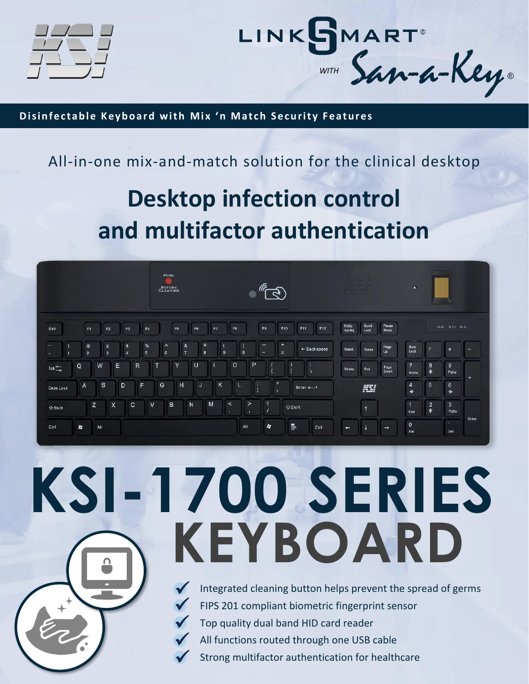



**Disinfectable Keyboard with Mix 'n Match Security Features** 

#### All-in-one mix-and-match solution for the clinical desktop

## **Desktop infection control and multifactor authentication**

|                                               |                              |                   |                |                      | PUSH<br><b>BEFORE</b>      |                                           |                |          |                         |                         |              |             | $\sqrt[\ell]{\mathbb{R}}$ |                |                      |                        |                |                   |                       | $\leftarrow$                               |                 |                                     |       |
|-----------------------------------------------|------------------------------|-------------------|----------------|----------------------|----------------------------|-------------------------------------------|----------------|----------|-------------------------|-------------------------|--------------|-------------|---------------------------|----------------|----------------------|------------------------|----------------|-------------------|-----------------------|--------------------------------------------|-----------------|-------------------------------------|-------|
| Esc                                           | F1                           | F <sub>2</sub>    | F <sub>3</sub> | F <sub>4</sub>       |                            | F <sub>5</sub>                            | F <sub>6</sub> |          | F7                      | F <sub>8</sub>          |              | F9          |                           | F10            | F11                  | F12                    | PrtSc<br>SysRq | Scroll<br>Lock    | Pause<br><b>Break</b> |                                            |                 | <b>ONL OCL OSL</b>                  |       |
| ∸<br>1<br>$\mathbf{X}$                        | $^{\circ}$<br>$\overline{2}$ | #<br>$\mathbf{3}$ | \$<br>4        | %<br>$5\phantom{.0}$ | $\wedge$<br>$6\phantom{1}$ | $\mathbf{g}_\mathrm{c}$<br>$\overline{7}$ |                | $*$<br>8 | $\mathbf{9}$            |                         | $\mathbf{0}$ | -<br>$-$    |                           | $+$<br>$=$     |                      | $\leftarrow$ Backspace | Insert         | Home              | Page<br>Up            | Num<br>Lock                                |                 | $\ast$                              | -     |
| Q<br>$\mathsf{Tab} \xrightarrow{\mathsf{M}-}$ | W                            | E                 | $\mathsf{R}$   | T                    |                            | Y                                         | U              |          |                         | $\circ$                 |              | P           | Æ                         | $\overline{1}$ |                      |                        | Delete         | End               | Page<br>Down          | $\overline{7}$<br>Home                     | $\frac{8}{4}$   | 9<br>PgUp                           |       |
| $\overline{A}$<br>Caps Lock                   | s                            |                   | D              | F                    | G                          | H                                         |                | J        | $\overline{\mathsf{K}}$ |                         | L            | ÷<br>п<br>л | $\mathbf{H}$              |                | $Enter$ $\leftarrow$ |                        |                | KST               |                       | $\overline{\mathbf{4}}$<br>$\blacklozenge$ | $5\overline{5}$ | 6<br>$\rightarrow$                  | $+$   |
| ←Shift                                        | Z                            | $\mathsf{x}$      | $\mathbf{C}$   | $\vee$               | B                          |                                           | N              | M        |                         | $\prec$<br>$\mathbf{r}$ | $\geq$<br>×  |             | $\boldsymbol{?}$          | △Shift         |                      |                        |                | $\ddot{\uparrow}$ |                       | $\overline{1}$<br>End                      | $\frac{2}{2}$   | $\mathbf{3}$<br>PgDn                |       |
| 忽<br>Ctrl                                     | Alt                          |                   |                |                      |                            |                                           |                |          |                         |                         | Alt          |             | ET                        | $\blacksquare$ |                      | Ctrl                   | $\leftarrow$   |                   | $\rightarrow$         | $\mathbf 0$<br>Ins                         |                 | $\mathcal{L}_{\mathbf{R}}$ .<br>Del | Enter |

# **KSI-1700 SERIES KEYBOARD**



Integrated cleaning button helps prevent the spread of germs FIPS 201 compliant biometric fingerprint sensor Top quality dual band HID card reader All functions routed through one USB cable Strong multifactor authentication for healthcare